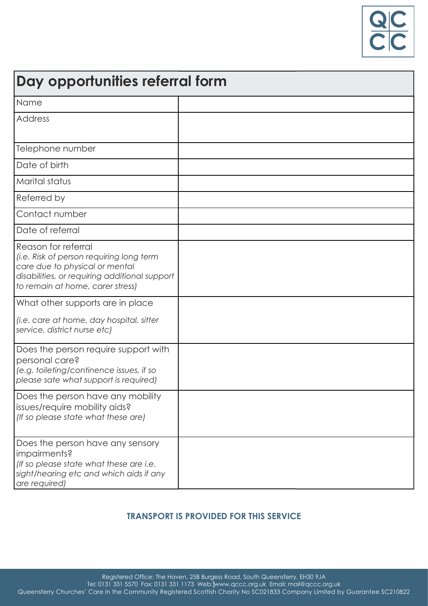

| Day opportunities referral form                                                                                                                                                        |  |  |
|----------------------------------------------------------------------------------------------------------------------------------------------------------------------------------------|--|--|
| Name                                                                                                                                                                                   |  |  |
| <b>Address</b>                                                                                                                                                                         |  |  |
| Telephone number                                                                                                                                                                       |  |  |
| Date of birth                                                                                                                                                                          |  |  |
| Marital status                                                                                                                                                                         |  |  |
| Referred by                                                                                                                                                                            |  |  |
| Contact number                                                                                                                                                                         |  |  |
| Date of referral                                                                                                                                                                       |  |  |
| Reason for referral<br>(i.e. Risk of person requiring long term<br>care due to physical or mental<br>disabilities, or requiring additional support<br>to remain at home, carer stress) |  |  |
| What other supports are in place<br>(i.e. care at home, day hospital, sitter<br>service, district nurse etc)                                                                           |  |  |
| Does the person require support with<br>personal care?<br>(e.g. toileting/continence issues, if so<br>please sate what support is required)                                            |  |  |
| Does the person have any mobility<br>issues/require mobility aids?<br>(If so please state what these are)                                                                              |  |  |
| Does the person have any sensory<br>impairments?<br>(If so please state what these are i.e.<br>sight/hearing etc and which aids if any<br>are required)                                |  |  |

## **TRANSPORT IS PROVIDED FOR THIS SERVICE**